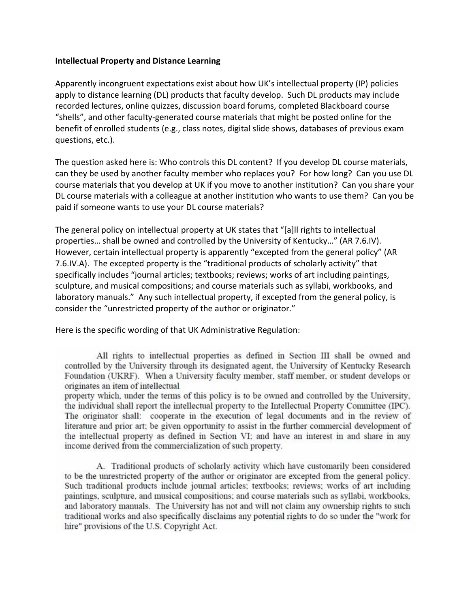## **Intellectual Property and Distance Learning**

Apparently incongruent expectations exist about how UK's intellectual property (IP) policies apply to distance learning (DL) products that faculty develop. Such DL products may include recorded lectures, online quizzes, discussion board forums, completed Blackboard course "shells", and other faculty‐generated course materials that might be posted online for the benefit of enrolled students (e.g., class notes, digital slide shows, databases of previous exam questions, etc.).

The question asked here is: Who controls this DL content? If you develop DL course materials, can they be used by another faculty member who replaces you? For how long? Can you use DL course materials that you develop at UK if you move to another institution? Can you share your DL course materials with a colleague at another institution who wants to use them? Can you be paid if someone wants to use your DL course materials?

The general policy on intellectual property at UK states that "[a]ll rights to intellectual properties… shall be owned and controlled by the University of Kentucky…" (AR 7.6.IV). However, certain intellectual property is apparently "excepted from the general policy" (AR 7.6.IV.A). The excepted property is the "traditional products of scholarly activity" that specifically includes "journal articles; textbooks; reviews; works of art including paintings, sculpture, and musical compositions; and course materials such as syllabi, workbooks, and laboratory manuals." Any such intellectual property, if excepted from the general policy, is consider the "unrestricted property of the author or originator."

Here is the specific wording of that UK Administrative Regulation:

All rights to intellectual properties as defined in Section III shall be owned and controlled by the University through its designated agent, the University of Kentucky Research Foundation (UKRF). When a University faculty member, staff member, or student develops or originates an item of intellectual

property which, under the terms of this policy is to be owned and controlled by the University, the individual shall report the intellectual property to the Intellectual Property Committee (IPC). The originator shall: cooperate in the execution of legal documents and in the review of literature and prior art; be given opportunity to assist in the further commercial development of the intellectual property as defined in Section VI; and have an interest in and share in any income derived from the commercialization of such property.

A. Traditional products of scholarly activity which have customarily been considered to be the unrestricted property of the author or originator are excepted from the general policy. Such traditional products include journal articles; textbooks; reviews; works of art including paintings, sculpture, and musical compositions; and course materials such as syllabi, workbooks, and laboratory manuals. The University has not and will not claim any ownership rights to such traditional works and also specifically disclaims any potential rights to do so under the "work for hire" provisions of the U.S. Copyright Act.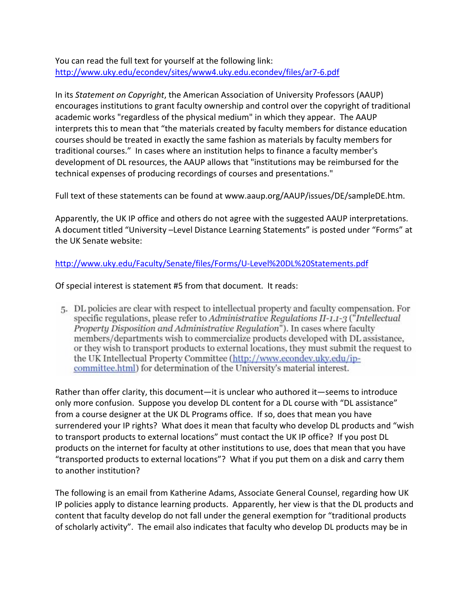You can read the full text for yourself at the following link: http://www.uky.edu/econdev/sites/www4.uky.edu.econdev/files/ar7‐6.pdf

In its *Statement on Copyright*, the American Association of University Professors (AAUP) encourages institutions to grant faculty ownership and control over the copyright of traditional academic works "regardless of the physical medium" in which they appear. The AAUP interprets this to mean that "the materials created by faculty members for distance education courses should be treated in exactly the same fashion as materials by faculty members for traditional courses." In cases where an institution helps to finance a faculty member's development of DL resources, the AAUP allows that "institutions may be reimbursed for the technical expenses of producing recordings of courses and presentations."

Full text of these statements can be found at www.aaup.org/AAUP/issues/DE/sampleDE.htm.

Apparently, the UK IP office and others do not agree with the suggested AAUP interpretations. A document titled "University –Level Distance Learning Statements" is posted under "Forms" at the UK Senate website:

## http://www.uky.edu/Faculty/Senate/files/Forms/U‐Level%20DL%20Statements.pdf

Of special interest is statement #5 from that document. It reads:

5. DL policies are clear with respect to intellectual property and faculty compensation. For specific regulations, please refer to Administrative Regulations II-1.1-3 ("Intellectual Property Disposition and Administrative Regulation"). In cases where faculty members/departments wish to commercialize products developed with DL assistance, or they wish to transport products to external locations, they must submit the request to the UK Intellectual Property Committee (http://www.econdev.uky.edu/ipcommittee.html) for determination of the University's material interest.

Rather than offer clarity, this document—it is unclear who authored it—seems to introduce only more confusion. Suppose you develop DL content for a DL course with "DL assistance" from a course designer at the UK DL Programs office. If so, does that mean you have surrendered your IP rights? What does it mean that faculty who develop DL products and "wish to transport products to external locations" must contact the UK IP office? If you post DL products on the internet for faculty at other institutions to use, does that mean that you have "transported products to external locations"? What if you put them on a disk and carry them to another institution?

The following is an email from Katherine Adams, Associate General Counsel, regarding how UK IP policies apply to distance learning products. Apparently, her view is that the DL products and content that faculty develop do not fall under the general exemption for "traditional products of scholarly activity". The email also indicates that faculty who develop DL products may be in